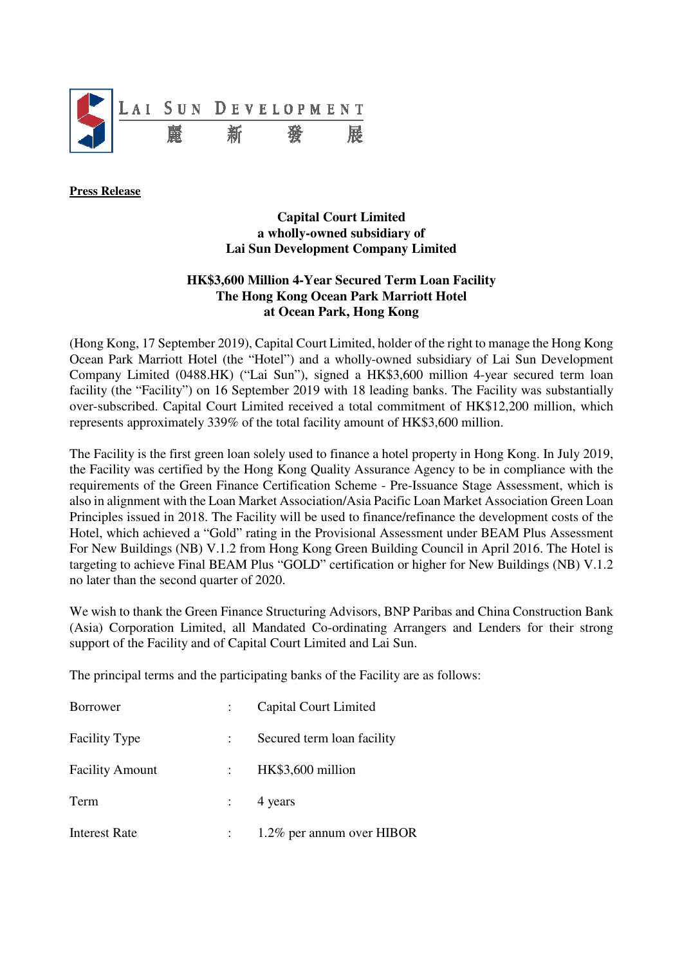

**Press Release** 

## **Capital Court Limited a wholly-owned subsidiary of Lai Sun Development Company Limited**

## **HK\$3,600 Million 4-Year Secured Term Loan Facility The Hong Kong Ocean Park Marriott Hotel at Ocean Park, Hong Kong**

(Hong Kong, 17 September 2019), Capital Court Limited, holder of the right to manage the Hong Kong Ocean Park Marriott Hotel (the "Hotel") and a wholly-owned subsidiary of Lai Sun Development Company Limited (0488.HK) ("Lai Sun"), signed a HK\$3,600 million 4-year secured term loan facility (the "Facility") on 16 September 2019 with 18 leading banks. The Facility was substantially over-subscribed. Capital Court Limited received a total commitment of HK\$12,200 million, which represents approximately 339% of the total facility amount of HK\$3,600 million.

The Facility is the first green loan solely used to finance a hotel property in Hong Kong. In July 2019, the Facility was certified by the Hong Kong Quality Assurance Agency to be in compliance with the requirements of the Green Finance Certification Scheme - Pre-Issuance Stage Assessment, which is also in alignment with the Loan Market Association/Asia Pacific Loan Market Association Green Loan Principles issued in 2018. The Facility will be used to finance/refinance the development costs of the Hotel, which achieved a "Gold" rating in the Provisional Assessment under BEAM Plus Assessment For New Buildings (NB) V.1.2 from Hong Kong Green Building Council in April 2016. The Hotel is targeting to achieve Final BEAM Plus "GOLD" certification or higher for New Buildings (NB) V.1.2 no later than the second quarter of 2020.

We wish to thank the Green Finance Structuring Advisors, BNP Paribas and China Construction Bank (Asia) Corporation Limited, all Mandated Co-ordinating Arrangers and Lenders for their strong support of the Facility and of Capital Court Limited and Lai Sun.

The principal terms and the participating banks of the Facility are as follows:

| <b>Borrower</b>        | Capital Court Limited      |
|------------------------|----------------------------|
| <b>Facility Type</b>   | Secured term loan facility |
| <b>Facility Amount</b> | HK\$3,600 million          |
| Term                   | 4 years                    |
| <b>Interest Rate</b>   | 1.2% per annum over HIBOR  |